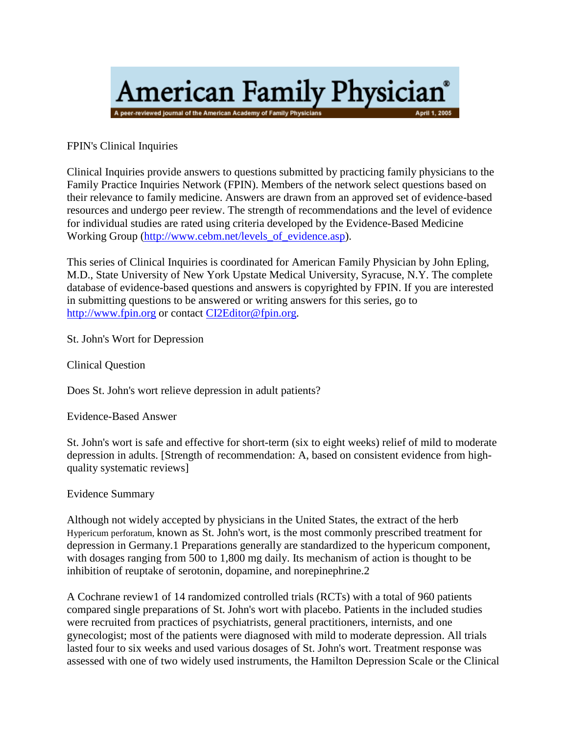

FPIN's Clinical Inquiries

Clinical Inquiries provide answers to questions submitted by practicing family physicians to the Family Practice Inquiries Network (FPIN). Members of the network select questions based on their relevance to family medicine. Answers are drawn from an approved set of evidence-based resources and undergo peer review. The strength of recommendations and the level of evidence for individual studies are rated using criteria developed by the Evidence-Based Medicine Working Group [\(http://www.cebm.net/levels\\_of\\_evidence.asp\)](http://www.cebm.net/levels_of_evidence.asp).

This series of Clinical Inquiries is coordinated for American Family Physician by John Epling, M.D., State University of New York Upstate Medical University, Syracuse, N.Y. The complete database of evidence-based questions and answers is copyrighted by FPIN. If you are interested in submitting questions to be answered or writing answers for this series, go to [http://www.fpin.org](http://www.fpin.org/) or contac[t CI2Editor@fpin.org.](mailto:CI2Editor@fpin.org)

St. John's Wort for Depression

Clinical Question

Does St. John's wort relieve depression in adult patients?

Evidence-Based Answer

St. John's wort is safe and effective for short-term (six to eight weeks) relief of mild to moderate depression in adults. [Strength of recommendation: A, based on consistent evidence from highquality systematic reviews]

Evidence Summary

Although not widely accepted by physicians in the United States, the extract of the herb Hypericum perforatum, known as St. John's wort, is the most commonly prescribed treatment for depression in Germany.1 Preparations generally are standardized to the hypericum component, with dosages ranging from 500 to 1,800 mg daily. Its mechanism of action is thought to be inhibition of reuptake of serotonin, dopamine, and norepinephrine.2

A Cochrane review1 of 14 randomized controlled trials (RCTs) with a total of 960 patients compared single preparations of St. John's wort with placebo. Patients in the included studies were recruited from practices of psychiatrists, general practitioners, internists, and one gynecologist; most of the patients were diagnosed with mild to moderate depression. All trials lasted four to six weeks and used various dosages of St. John's wort. Treatment response was assessed with one of two widely used instruments, the Hamilton Depression Scale or the Clinical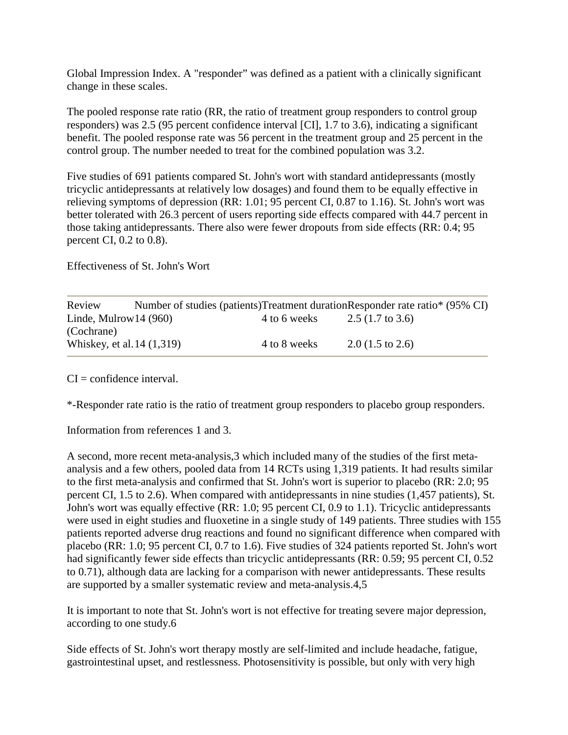Global Impression Index. A "responder" was defined as a patient with a clinically significant change in these scales.

The pooled response rate ratio (RR, the ratio of treatment group responders to control group responders) was 2.5 (95 percent confidence interval [CI], 1.7 to 3.6), indicating a significant benefit. The pooled response rate was 56 percent in the treatment group and 25 percent in the control group. The number needed to treat for the combined population was 3.2.

Five studies of 691 patients compared St. John's wort with standard antidepressants (mostly tricyclic antidepressants at relatively low dosages) and found them to be equally effective in relieving symptoms of depression (RR: 1.01; 95 percent CI, 0.87 to 1.16). St. John's wort was better tolerated with 26.3 percent of users reporting side effects compared with 44.7 percent in those taking antidepressants. There also were fewer dropouts from side effects (RR: 0.4; 95 percent CI, 0.2 to 0.8).

Effectiveness of St. John's Wort

| Review                     |              | Number of studies (patients)Treatment durationResponder rate ratio* (95% CI) |
|----------------------------|--------------|------------------------------------------------------------------------------|
| Linde, Mulrow $14(960)$    | 4 to 6 weeks | 2.5 $(1.7 \text{ to } 3.6)$                                                  |
| (Cochrane)                 |              |                                                                              |
| Whiskey, et al. 14 (1,319) | 4 to 8 weeks | $2.0(1.5 \text{ to } 2.6)$                                                   |

 $CI =$  confidence interval.

\*-Responder rate ratio is the ratio of treatment group responders to placebo group responders.

Information from references 1 and 3.

A second, more recent meta-analysis,3 which included many of the studies of the first metaanalysis and a few others, pooled data from 14 RCTs using 1,319 patients. It had results similar to the first meta-analysis and confirmed that St. John's wort is superior to placebo (RR: 2.0; 95 percent CI, 1.5 to 2.6). When compared with antidepressants in nine studies (1,457 patients), St. John's wort was equally effective (RR: 1.0; 95 percent CI, 0.9 to 1.1). Tricyclic antidepressants were used in eight studies and fluoxetine in a single study of 149 patients. Three studies with 155 patients reported adverse drug reactions and found no significant difference when compared with placebo (RR: 1.0; 95 percent CI, 0.7 to 1.6). Five studies of 324 patients reported St. John's wort had significantly fewer side effects than tricyclic antidepressants (RR: 0.59; 95 percent CI, 0.52 to 0.71), although data are lacking for a comparison with newer antidepressants. These results are supported by a smaller systematic review and meta-analysis.4,5

It is important to note that St. John's wort is not effective for treating severe major depression, according to one study.6

Side effects of St. John's wort therapy mostly are self-limited and include headache, fatigue, gastrointestinal upset, and restlessness. Photosensitivity is possible, but only with very high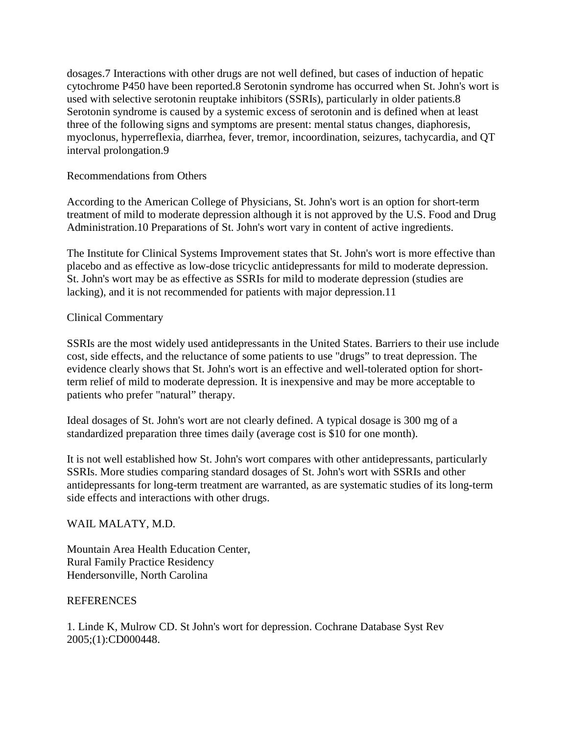dosages.7 Interactions with other drugs are not well defined, but cases of induction of hepatic cytochrome P450 have been reported.8 Serotonin syndrome has occurred when St. John's wort is used with selective serotonin reuptake inhibitors (SSRIs), particularly in older patients.8 Serotonin syndrome is caused by a systemic excess of serotonin and is defined when at least three of the following signs and symptoms are present: mental status changes, diaphoresis, myoclonus, hyperreflexia, diarrhea, fever, tremor, incoordination, seizures, tachycardia, and QT interval prolongation.9

## Recommendations from Others

According to the American College of Physicians, St. John's wort is an option for short-term treatment of mild to moderate depression although it is not approved by the U.S. Food and Drug Administration.10 Preparations of St. John's wort vary in content of active ingredients.

The Institute for Clinical Systems Improvement states that St. John's wort is more effective than placebo and as effective as low-dose tricyclic antidepressants for mild to moderate depression. St. John's wort may be as effective as SSRIs for mild to moderate depression (studies are lacking), and it is not recommended for patients with major depression.11

## Clinical Commentary

SSRIs are the most widely used antidepressants in the United States. Barriers to their use include cost, side effects, and the reluctance of some patients to use "drugs" to treat depression. The evidence clearly shows that St. John's wort is an effective and well-tolerated option for shortterm relief of mild to moderate depression. It is inexpensive and may be more acceptable to patients who prefer "natural" therapy.

Ideal dosages of St. John's wort are not clearly defined. A typical dosage is 300 mg of a standardized preparation three times daily (average cost is \$10 for one month).

It is not well established how St. John's wort compares with other antidepressants, particularly SSRIs. More studies comparing standard dosages of St. John's wort with SSRIs and other antidepressants for long-term treatment are warranted, as are systematic studies of its long-term side effects and interactions with other drugs.

## WAIL MALATY, M.D.

Mountain Area Health Education Center, Rural Family Practice Residency Hendersonville, North Carolina

## **REFERENCES**

1. Linde K, Mulrow CD. St John's wort for depression. Cochrane Database Syst Rev 2005;(1):CD000448.